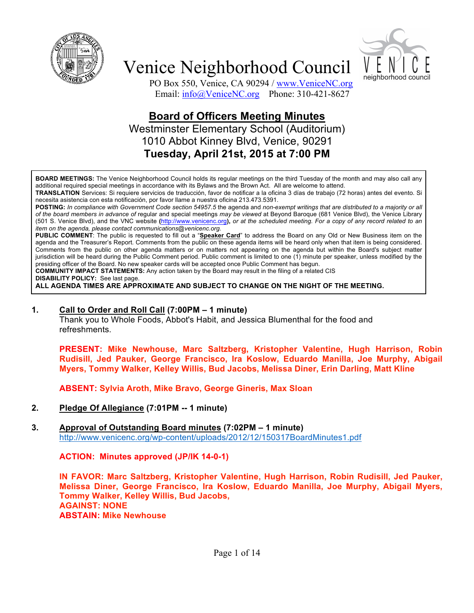



PO Box 550, Venice, CA 90294 / www.VeniceNC.org Email: info@VeniceNC.org Phone: 310-421-8627

## **Board of Officers Meeting Minutes**

Westminster Elementary School (Auditorium) 1010 Abbot Kinney Blvd, Venice, 90291 **Tuesday, April 21st, 2015 at 7:00 PM**

**BOARD MEETINGS:** The Venice Neighborhood Council holds its regular meetings on the third Tuesday of the month and may also call any additional required special meetings in accordance with its Bylaws and the Brown Act. All are welcome to attend.

**TRANSLATION** Services: Si requiere servicios de traducción, favor de notificar a la oficina 3 días de trabajo (72 horas) antes del evento. Si necesita asistencia con esta notificación, por favor llame a nuestra oficina 213.473.5391.

**POSTING:** *In compliance with Government Code section 54957.5* the agenda and *non-exempt writings that are distributed to a majority or all of the board members in advance of* regular and special meetings *may be viewed* at Beyond Baroque (681 Venice Blvd), the Venice Library (501 S. Venice Blvd), and the VNC website **(**http://www.venicenc.org**),** *or at the scheduled meeting. For a copy of any record related to an item on the agenda, please contact communications@venicenc.org.*

**PUBLIC COMMENT**: The public is requested to fill out a "**Speaker Card**" to address the Board on any Old or New Business item on the agenda and the Treasurer's Report. Comments from the public on these agenda items will be heard only when that item is being considered. Comments from the public on other agenda matters or on matters not appearing on the agenda but within the Board's subject matter jurisdiction will be heard during the Public Comment period. Public comment is limited to one (1) minute per speaker, unless modified by the presiding officer of the Board. No new speaker cards will be accepted once Public Comment has begun.

**COMMUNITY IMPACT STATEMENTS:** Any action taken by the Board may result in the filing of a related CIS **DISABILITY POLICY:** See last page.

**ALL AGENDA TIMES ARE APPROXIMATE AND SUBJECT TO CHANGE ON THE NIGHT OF THE MEETING.**

#### **1. Call to Order and Roll Call (7:00PM – 1 minute)**

Thank you to Whole Foods, Abbot's Habit, and Jessica Blumenthal for the food and refreshments.

**PRESENT: Mike Newhouse, Marc Saltzberg, Kristopher Valentine, Hugh Harrison, Robin Rudisill, Jed Pauker, George Francisco, Ira Koslow, Eduardo Manilla, Joe Murphy, Abigail Myers, Tommy Walker, Kelley Willis, Bud Jacobs, Melissa Diner, Erin Darling, Matt Kline**

**ABSENT: Sylvia Aroth, Mike Bravo, George Gineris, Max Sloan**

- **2. Pledge Of Allegiance (7:01PM -- 1 minute)**
- **3. Approval of Outstanding Board minutes (7:02PM – 1 minute)** http://www.venicenc.org/wp-content/uploads/2012/12/150317BoardMinutes1.pdf

**ACTION: Minutes approved (JP/IK 14-0-1)**

**IN FAVOR: Marc Saltzberg, Kristopher Valentine, Hugh Harrison, Robin Rudisill, Jed Pauker, Melissa Diner, George Francisco, Ira Koslow, Eduardo Manilla, Joe Murphy, Abigail Myers, Tommy Walker, Kelley Willis, Bud Jacobs, AGAINST: NONE ABSTAIN: Mike Newhouse**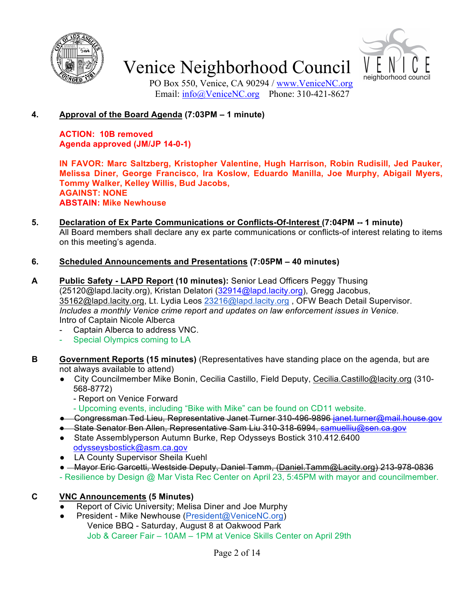



PO Box 550, Venice, CA 90294 / www.VeniceNC.org Email: info@VeniceNC.org Phone: 310-421-8627

## **4. Approval of the Board Agenda (7:03PM – 1 minute)**

**ACTION: 10B removed Agenda approved (JM/JP 14-0-1)**

**IN FAVOR: Marc Saltzberg, Kristopher Valentine, Hugh Harrison, Robin Rudisill, Jed Pauker, Melissa Diner, George Francisco, Ira Koslow, Eduardo Manilla, Joe Murphy, Abigail Myers, Tommy Walker, Kelley Willis, Bud Jacobs, AGAINST: NONE ABSTAIN: Mike Newhouse**

**5. Declaration of Ex Parte Communications or Conflicts-Of-Interest (7:04PM -- 1 minute)**  All Board members shall declare any ex parte communications or conflicts-of interest relating to items on this meeting's agenda.

### **6. Scheduled Announcements and Presentations (7:05PM – 40 minutes)**

- **A Public Safety - LAPD Report (10 minutes):** Senior Lead Officers Peggy Thusing (25120@lapd.lacity.org), Kristan Delatori (32914@lapd.lacity.org), Gregg Jacobus, 35162@lapd.lacity.org, Lt. Lydia Leos 23216@lapd.lacity.org, OFW Beach Detail Supervisor. *Includes a monthly Venice crime report and updates on law enforcement issues in Venice.* Intro of Captain Nicole Alberca
	- Captain Alberca to address VNC.
	- Special Olympics coming to LA
- **B Government Reports (15 minutes)** (Representatives have standing place on the agenda, but are not always available to attend)
	- City Councilmember Mike Bonin, Cecilia Castillo, Field Deputy, Cecilia.Castillo@lacity.org (310-568-8772)
		- Report on Venice Forward
		- Upcoming events, including "Bike with Mike" can be found on CD11 website.
	- Congressman Ted Lieu, Representative Janet Turner 310-496-9896 janet.turner@mail.house.gov
	- State Senator Ben Allen, Representative Sam Liu 310-318-6994, samuelliu@sen.ca.gov
	- State Assemblyperson Autumn Burke, Rep Odysseys Bostick 310.412.6400 odysseysbostick@asm.ca.gov
	- LA County Supervisor Sheila Kuehl
	- Mayor Eric Garcetti, Westside Deputy, Daniel Tamm, (Daniel.Tamm@Lacity.org) 213-978-0836
	- Resilience by Design @ Mar Vista Rec Center on April 23, 5:45PM with mayor and councilmember.

### **C VNC Announcements (5 Minutes)**

- Report of Civic University; Melisa Diner and Joe Murphy
- President Mike Newhouse (President@VeniceNC.org) Venice BBQ - Saturday, August 8 at Oakwood Park Job & Career Fair – 10AM – 1PM at Venice Skills Center on April 29th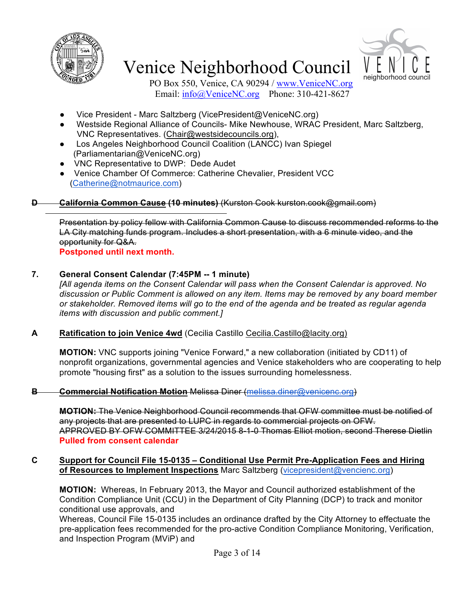



PO Box 550, Venice, CA 90294 / www.VeniceNC.org Email: info@VeniceNC.org Phone: 310-421-8627

- Vice President Marc Saltzberg (VicePresident@VeniceNC.org)
- Westside Regional Alliance of Councils- Mike Newhouse, WRAC President, Marc Saltzberg, VNC Representatives. (Chair@westsidecouncils.org),
- Los Angeles Neighborhood Council Coalition (LANCC) Ivan Spiegel (Parliamentarian@VeniceNC.org)
- VNC Representative to DWP: Dede Audet
- Venice Chamber Of Commerce: Catherine Chevalier, President VCC (Catherine@notmaurice.com)

## **D California Common Cause (10 minutes)** (Kurston Cook kurston.cook@gmail.com)

Presentation by policy fellow with California Common Cause to discuss recommended reforms to the LA City matching funds program. Includes a short presentation, with a 6 minute video, and the opportunity for Q&A.

**Postponed until next month.**

## **7. General Consent Calendar (7:45PM -- 1 minute)**

*[All agenda items on the Consent Calendar will pass when the Consent Calendar is approved. No discussion or Public Comment is allowed on any item. Items may be removed by any board member or stakeholder. Removed items will go to the end of the agenda and be treated as regular agenda items with discussion and public comment.]*

### **A Ratification to join Venice 4wd** (Cecilia Castillo Cecilia.Castillo@lacity.org)

**MOTION:** VNC supports joining "Venice Forward," a new collaboration (initiated by CD11) of nonprofit organizations, governmental agencies and Venice stakeholders who are cooperating to help promote "housing first" as a solution to the issues surrounding homelessness.

### **B Commercial Notification Motion** Melissa Diner (melissa.diner@venicenc.org)

**MOTION:** The Venice Neighborhood Council recommends that OFW committee must be notified of any projects that are presented to LUPC in regards to commercial projects on OFW. APPROVED BY OFW COMMITTEE 3/24/2015 8-1-0 Thomas Elliot motion, second Therese Dietlin **Pulled from consent calendar**

#### **C Support for Council File 15-0135 – Conditional Use Permit Pre-Application Fees and Hiring of Resources to Implement Inspections** Marc Saltzberg (vicepresident@vencienc.org)

**MOTION:** Whereas, In February 2013, the Mayor and Council authorized establishment of the Condition Compliance Unit (CCU) in the Department of City Planning (DCP) to track and monitor conditional use approvals, and

Whereas, Council File 15-0135 includes an ordinance drafted by the City Attorney to effectuate the pre-application fees recommended for the pro-active Condition Compliance Monitoring, Verification, and Inspection Program (MViP) and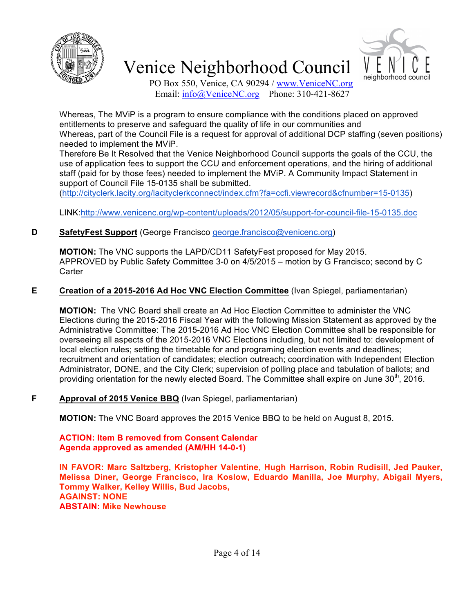



PO Box 550, Venice, CA 90294 / www.VeniceNC.org Email: info@VeniceNC.org Phone: 310-421-8627

Whereas, The MViP is a program to ensure compliance with the conditions placed on approved entitlements to preserve and safeguard the quality of life in our communities and Whereas, part of the Council File is a request for approval of additional DCP staffing (seven positions) needed to implement the MViP.

Therefore Be It Resolved that the Venice Neighborhood Council supports the goals of the CCU, the use of application fees to support the CCU and enforcement operations, and the hiring of additional staff (paid for by those fees) needed to implement the MViP. A Community Impact Statement in support of Council File 15-0135 shall be submitted.

(http://cityclerk.lacity.org/lacityclerkconnect/index.cfm?fa=ccfi.viewrecord&cfnumber=15-0135)

LINK:http://www.venicenc.org/wp-content/uploads/2012/05/support-for-council-file-15-0135.doc

## **D SafetyFest Support** (George Francisco george.francisco@venicenc.org)

**MOTION:** The VNC supports the LAPD/CD11 SafetyFest proposed for May 2015. APPROVED by Public Safety Committee 3-0 on 4/5/2015 – motion by G Francisco; second by C **Carter** 

### **E Creation of a 2015-2016 Ad Hoc VNC Election Committee** (Ivan Spiegel, parliamentarian)

**MOTION:** The VNC Board shall create an Ad Hoc Election Committee to administer the VNC Elections during the 2015-2016 Fiscal Year with the following Mission Statement as approved by the Administrative Committee: The 2015-2016 Ad Hoc VNC Election Committee shall be responsible for overseeing all aspects of the 2015-2016 VNC Elections including, but not limited to: development of local election rules; setting the timetable for and programing election events and deadlines; recruitment and orientation of candidates; election outreach; coordination with Independent Election Administrator, DONE, and the City Clerk; supervision of polling place and tabulation of ballots; and providing orientation for the newly elected Board. The Committee shall expire on June 30<sup>th</sup>, 2016.

### **F Approval of 2015 Venice BBQ** (Ivan Spiegel, parliamentarian)

**MOTION:** The VNC Board approves the 2015 Venice BBQ to be held on August 8, 2015.

**ACTION: Item B removed from Consent Calendar Agenda approved as amended (AM/HH 14-0-1)**

**IN FAVOR: Marc Saltzberg, Kristopher Valentine, Hugh Harrison, Robin Rudisill, Jed Pauker, Melissa Diner, George Francisco, Ira Koslow, Eduardo Manilla, Joe Murphy, Abigail Myers, Tommy Walker, Kelley Willis, Bud Jacobs, AGAINST: NONE ABSTAIN: Mike Newhouse**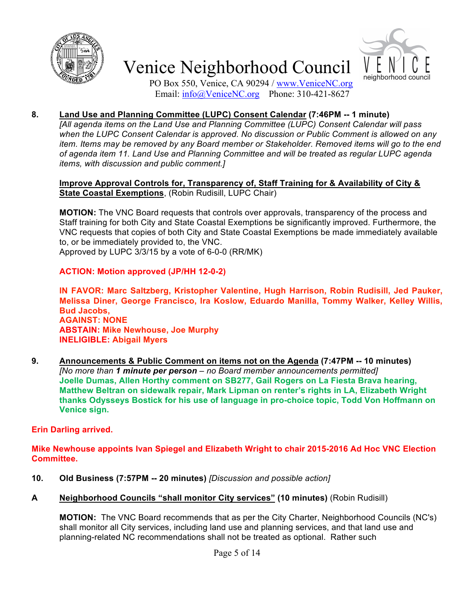



PO Box 550, Venice, CA 90294 / www.VeniceNC.org Email: info@VeniceNC.org Phone: 310-421-8627

## **8. Land Use and Planning Committee (LUPC) Consent Calendar (7:46PM -- 1 minute)**

*[All agenda items on the Land Use and Planning Committee (LUPC) Consent Calendar will pass when the LUPC Consent Calendar is approved. No discussion or Public Comment is allowed on any item. Items may be removed by any Board member or Stakeholder. Removed items will go to the end of agenda item 11. Land Use and Planning Committee and will be treated as regular LUPC agenda items, with discussion and public comment.]*

#### **Improve Approval Controls for, Transparency of, Staff Training for & Availability of City & State Coastal Exemptions**, (Robin Rudisill, LUPC Chair)

**MOTION:** The VNC Board requests that controls over approvals, transparency of the process and Staff training for both City and State Coastal Exemptions be significantly improved. Furthermore, the VNC requests that copies of both City and State Coastal Exemptions be made immediately available to, or be immediately provided to, the VNC.

Approved by LUPC 3/3/15 by a vote of 6-0-0 (RR/MK)

#### **ACTION: Motion approved (JP/HH 12-0-2)**

**IN FAVOR: Marc Saltzberg, Kristopher Valentine, Hugh Harrison, Robin Rudisill, Jed Pauker, Melissa Diner, George Francisco, Ira Koslow, Eduardo Manilla, Tommy Walker, Kelley Willis, Bud Jacobs, AGAINST: NONE ABSTAIN: Mike Newhouse, Joe Murphy INELIGIBLE: Abigail Myers**

**9. Announcements & Public Comment on items not on the Agenda (7:47PM -- 10 minutes)** *[No more than 1 minute per person – no Board member announcements permitted]* **Joelle Dumas, Allen Horthy comment on SB277, Gail Rogers on La Fiesta Brava hearing, Matthew Beltran on sidewalk repair, Mark Lipman on renter's rights in LA, Elizabeth Wright thanks Odysseys Bostick for his use of language in pro-choice topic, Todd Von Hoffmann on Venice sign.**

#### **Erin Darling arrived.**

**Mike Newhouse appoints Ivan Spiegel and Elizabeth Wright to chair 2015-2016 Ad Hoc VNC Election Committee.**

- **10. Old Business (7:57PM -- 20 minutes)** *[Discussion and possible action]*
- **A Neighborhood Councils "shall monitor City services" (10 minutes)** (Robin Rudisill)

**MOTION:** The VNC Board recommends that as per the City Charter, Neighborhood Councils (NC's) shall monitor all City services, including land use and planning services, and that land use and planning-related NC recommendations shall not be treated as optional. Rather such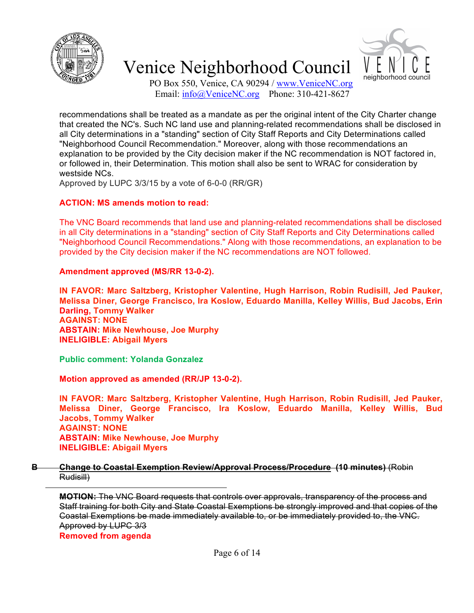



PO Box 550, Venice, CA 90294 / www.VeniceNC.org Email: info@VeniceNC.org Phone: 310-421-8627

recommendations shall be treated as a mandate as per the original intent of the City Charter change that created the NC's. Such NC land use and planning-related recommendations shall be disclosed in all City determinations in a "standing" section of City Staff Reports and City Determinations called "Neighborhood Council Recommendation." Moreover, along with those recommendations an explanation to be provided by the City decision maker if the NC recommendation is NOT factored in, or followed in, their Determination. This motion shall also be sent to WRAC for consideration by westside NCs.

Approved by LUPC 3/3/15 by a vote of 6-0-0 (RR/GR)

#### **ACTION: MS amends motion to read:**

The VNC Board recommends that land use and planning-related recommendations shall be disclosed in all City determinations in a "standing" section of City Staff Reports and City Determinations called "Neighborhood Council Recommendations." Along with those recommendations, an explanation to be provided by the City decision maker if the NC recommendations are NOT followed.

#### **Amendment approved (MS/RR 13-0-2).**

**IN FAVOR: Marc Saltzberg, Kristopher Valentine, Hugh Harrison, Robin Rudisill, Jed Pauker, Melissa Diner, George Francisco, Ira Koslow, Eduardo Manilla, Kelley Willis, Bud Jacobs, Erin Darling, Tommy Walker AGAINST: NONE ABSTAIN: Mike Newhouse, Joe Murphy INELIGIBLE: Abigail Myers**

**Public comment: Yolanda Gonzalez**

**Motion approved as amended (RR/JP 13-0-2).**

**IN FAVOR: Marc Saltzberg, Kristopher Valentine, Hugh Harrison, Robin Rudisill, Jed Pauker, Melissa Diner, George Francisco, Ira Koslow, Eduardo Manilla, Kelley Willis, Bud Jacobs, Tommy Walker AGAINST: NONE ABSTAIN: Mike Newhouse, Joe Murphy INELIGIBLE: Abigail Myers**

**B Change to Coastal Exemption Review/Approval Process/Procedure (10 minutes)** (Robin Rudisill)

**MOTION:** The VNC Board requests that controls over approvals, transparency of the process and Staff training for both City and State Coastal Exemptions be strongly improved and that copies of the Coastal Exemptions be made immediately available to, or be immediately provided to, the VNC. Approved by LUPC 3/3 **Removed from agenda**

Page 6 of 14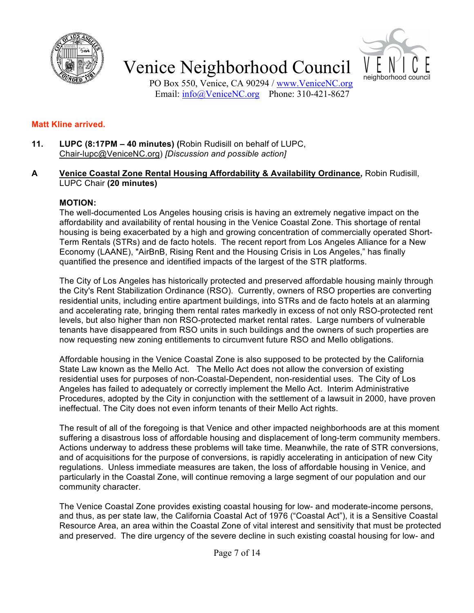



PO Box 550, Venice, CA 90294 / www.VeniceNC.org Email: info@VeniceNC.org Phone: 310-421-8627

#### **Matt Kline arrived.**

**11. LUPC (8:17PM – 40 minutes) (**Robin Rudisill on behalf of LUPC, Chair-lupc@VeniceNC.org) *[Discussion and possible action]*

#### **A Venice Coastal Zone Rental Housing Affordability & Availability Ordinance,** Robin Rudisill, LUPC Chair **(20 minutes)**

#### **MOTION:**

The well-documented Los Angeles housing crisis is having an extremely negative impact on the affordability and availability of rental housing in the Venice Coastal Zone. This shortage of rental housing is being exacerbated by a high and growing concentration of commercially operated Short-Term Rentals (STRs) and de facto hotels. The recent report from Los Angeles Alliance for a New Economy (LAANE), "AirBnB, Rising Rent and the Housing Crisis in Los Angeles," has finally quantified the presence and identified impacts of the largest of the STR platforms.

The City of Los Angeles has historically protected and preserved affordable housing mainly through the City's Rent Stabilization Ordinance (RSO). Currently, owners of RSO properties are converting residential units, including entire apartment buildings, into STRs and de facto hotels at an alarming and accelerating rate, bringing them rental rates markedly in excess of not only RSO-protected rent levels, but also higher than non RSO-protected market rental rates. Large numbers of vulnerable tenants have disappeared from RSO units in such buildings and the owners of such properties are now requesting new zoning entitlements to circumvent future RSO and Mello obligations.

Affordable housing in the Venice Coastal Zone is also supposed to be protected by the California State Law known as the Mello Act. The Mello Act does not allow the conversion of existing residential uses for purposes of non-Coastal-Dependent, non-residential uses. The City of Los Angeles has failed to adequately or correctly implement the Mello Act. Interim Administrative Procedures, adopted by the City in conjunction with the settlement of a lawsuit in 2000, have proven ineffectual. The City does not even inform tenants of their Mello Act rights.

The result of all of the foregoing is that Venice and other impacted neighborhoods are at this moment suffering a disastrous loss of affordable housing and displacement of long-term community members. Actions underway to address these problems will take time. Meanwhile, the rate of STR conversions, and of acquisitions for the purpose of conversions, is rapidly accelerating in anticipation of new City regulations. Unless immediate measures are taken, the loss of affordable housing in Venice, and particularly in the Coastal Zone, will continue removing a large segment of our population and our community character.

The Venice Coastal Zone provides existing coastal housing for low- and moderate-income persons, and thus, as per state law, the California Coastal Act of 1976 ("Coastal Act"), it is a Sensitive Coastal Resource Area, an area within the Coastal Zone of vital interest and sensitivity that must be protected and preserved. The dire urgency of the severe decline in such existing coastal housing for low- and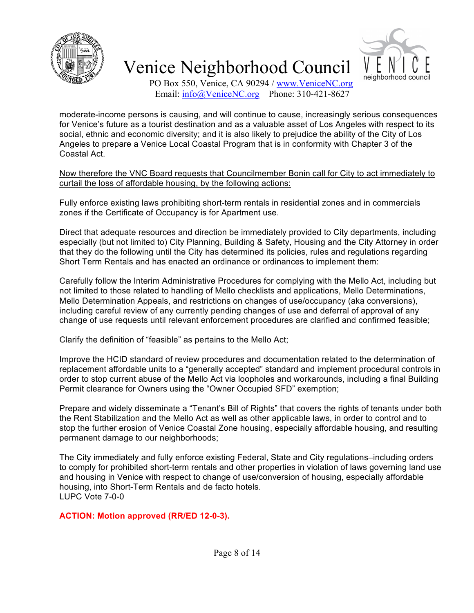



PO Box 550, Venice, CA 90294 / www.VeniceNC.org Email:  $\frac{info(@)$ VeniceNC.org Phone: 310-421-8627

moderate-income persons is causing, and will continue to cause, increasingly serious consequences for Venice's future as a tourist destination and as a valuable asset of Los Angeles with respect to its social, ethnic and economic diversity; and it is also likely to prejudice the ability of the City of Los Angeles to prepare a Venice Local Coastal Program that is in conformity with Chapter 3 of the Coastal Act.

Now therefore the VNC Board requests that Councilmember Bonin call for City to act immediately to curtail the loss of affordable housing, by the following actions:

Fully enforce existing laws prohibiting short-term rentals in residential zones and in commercials zones if the Certificate of Occupancy is for Apartment use.

Direct that adequate resources and direction be immediately provided to City departments, including especially (but not limited to) City Planning, Building & Safety, Housing and the City Attorney in order that they do the following until the City has determined its policies, rules and regulations regarding Short Term Rentals and has enacted an ordinance or ordinances to implement them:

Carefully follow the Interim Administrative Procedures for complying with the Mello Act, including but not limited to those related to handling of Mello checklists and applications, Mello Determinations, Mello Determination Appeals, and restrictions on changes of use/occupancy (aka conversions), including careful review of any currently pending changes of use and deferral of approval of any change of use requests until relevant enforcement procedures are clarified and confirmed feasible;

Clarify the definition of "feasible" as pertains to the Mello Act;

Improve the HCID standard of review procedures and documentation related to the determination of replacement affordable units to a "generally accepted" standard and implement procedural controls in order to stop current abuse of the Mello Act via loopholes and workarounds, including a final Building Permit clearance for Owners using the "Owner Occupied SFD" exemption;

Prepare and widely disseminate a "Tenant's Bill of Rights" that covers the rights of tenants under both the Rent Stabilization and the Mello Act as well as other applicable laws, in order to control and to stop the further erosion of Venice Coastal Zone housing, especially affordable housing, and resulting permanent damage to our neighborhoods;

The City immediately and fully enforce existing Federal, State and City regulations–including orders to comply for prohibited short-term rentals and other properties in violation of laws governing land use and housing in Venice with respect to change of use/conversion of housing, especially affordable housing, into Short-Term Rentals and de facto hotels. LUPC Vote 7-0-0

**ACTION: Motion approved (RR/ED 12-0-3).**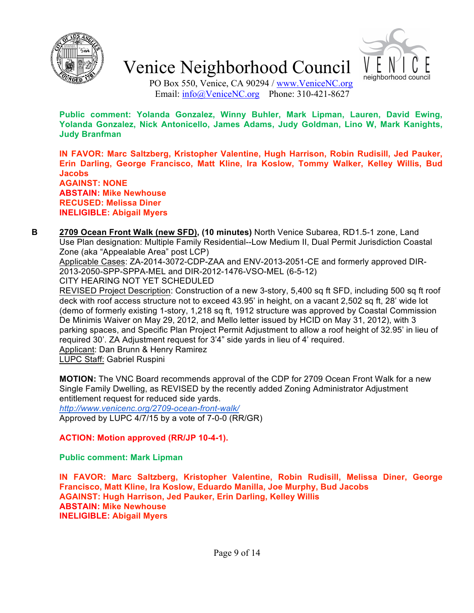



PO Box 550, Venice, CA 90294 / www.VeniceNC.org Email:  $info@V$ eniceNC.org Phone: 310-421-8627

**Public comment: Yolanda Gonzalez, Winny Buhler, Mark Lipman, Lauren, David Ewing, Yolanda Gonzalez, Nick Antonicello, James Adams, Judy Goldman, Lino W, Mark Kanights, Judy Branfman**

**IN FAVOR: Marc Saltzberg, Kristopher Valentine, Hugh Harrison, Robin Rudisill, Jed Pauker, Erin Darling, George Francisco, Matt Kline, Ira Koslow, Tommy Walker, Kelley Willis, Bud Jacobs AGAINST: NONE ABSTAIN: Mike Newhouse RECUSED: Melissa Diner INELIGIBLE: Abigail Myers**

- **B 2709 Ocean Front Walk (new SFD), (10 minutes)** North Venice Subarea, RD1.5-1 zone, Land Use Plan designation: Multiple Family Residential--Low Medium II, Dual Permit Jurisdiction Coastal Zone (aka "Appealable Area" post LCP) Applicable Cases: ZA-2014-3072-CDP-ZAA and ENV-2013-2051-CE and formerly approved DIR-2013-2050-SPP-SPPA-MEL and DIR-2012-1476-VSO-MEL (6-5-12)
	- CITY HEARING NOT YET SCHEDULED

REVISED Project Description: Construction of a new 3-story, 5,400 sq ft SFD, including 500 sq ft roof deck with roof access structure not to exceed 43.95' in height, on a vacant 2,502 sq ft, 28' wide lot (demo of formerly existing 1-story, 1,218 sq ft, 1912 structure was approved by Coastal Commission De Minimis Waiver on May 29, 2012, and Mello letter issued by HCID on May 31, 2012), with 3 parking spaces, and Specific Plan Project Permit Adjustment to allow a roof height of 32.95' in lieu of required 30'. ZA Adjustment request for 3'4" side yards in lieu of 4' required. Applicant: Dan Brunn & Henry Ramirez

LUPC Staff: Gabriel Ruspini

**MOTION:** The VNC Board recommends approval of the CDP for 2709 Ocean Front Walk for a new Single Family Dwelling, as REVISED by the recently added Zoning Administrator Adjustment entitlement request for reduced side yards.

*http://www.venicenc.org/2709-ocean-front-walk/* Approved by LUPC 4/7/15 by a vote of 7-0-0 (RR/GR)

### **ACTION: Motion approved (RR/JP 10-4-1).**

**Public comment: Mark Lipman**

**IN FAVOR: Marc Saltzberg, Kristopher Valentine, Robin Rudisill, Melissa Diner, George Francisco, Matt Kline, Ira Koslow, Eduardo Manilla, Joe Murphy, Bud Jacobs AGAINST: Hugh Harrison, Jed Pauker, Erin Darling, Kelley Willis ABSTAIN: Mike Newhouse INELIGIBLE: Abigail Myers**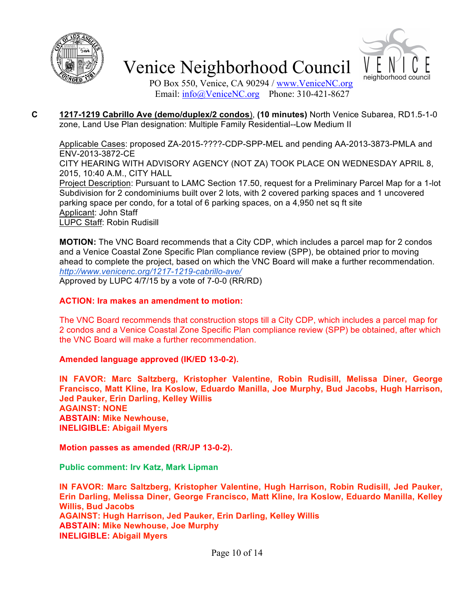



PO Box 550, Venice, CA 90294 / www.VeniceNC.org Email: info@VeniceNC.org Phone: 310-421-8627

**C 1217-1219 Cabrillo Ave (demo/duplex/2 condos**), **(10 minutes)** North Venice Subarea, RD1.5-1-0 zone, Land Use Plan designation: Multiple Family Residential--Low Medium II

Applicable Cases: proposed ZA-2015-????-CDP-SPP-MEL and pending AA-2013-3873-PMLA and ENV-2013-3872-CE CITY HEARING WITH ADVISORY AGENCY (NOT ZA) TOOK PLACE ON WEDNESDAY APRIL 8, 2015, 10:40 A.M., CITY HALL Project Description: Pursuant to LAMC Section 17.50, request for a Preliminary Parcel Map for a 1-lot Subdivision for 2 condominiums built over 2 lots, with 2 covered parking spaces and 1 uncovered parking space per condo, for a total of 6 parking spaces, on a 4,950 net sq ft site Applicant: John Staff LUPC Staff: Robin Rudisill

**MOTION:** The VNC Board recommends that a City CDP, which includes a parcel map for 2 condos and a Venice Coastal Zone Specific Plan compliance review (SPP), be obtained prior to moving ahead to complete the project, based on which the VNC Board will make a further recommendation. *http://www.venicenc.org/1217-1219-cabrillo-ave/* Approved by LUPC 4/7/15 by a vote of 7-0-0 (RR/RD)

#### **ACTION: Ira makes an amendment to motion:**

The VNC Board recommends that construction stops till a City CDP, which includes a parcel map for 2 condos and a Venice Coastal Zone Specific Plan compliance review (SPP) be obtained, after which the VNC Board will make a further recommendation.

#### **Amended language approved (IK/ED 13-0-2).**

**IN FAVOR: Marc Saltzberg, Kristopher Valentine, Robin Rudisill, Melissa Diner, George Francisco, Matt Kline, Ira Koslow, Eduardo Manilla, Joe Murphy, Bud Jacobs, Hugh Harrison, Jed Pauker, Erin Darling, Kelley Willis AGAINST: NONE ABSTAIN: Mike Newhouse, INELIGIBLE: Abigail Myers**

**Motion passes as amended (RR/JP 13-0-2).**

**Public comment: Irv Katz, Mark Lipman**

**IN FAVOR: Marc Saltzberg, Kristopher Valentine, Hugh Harrison, Robin Rudisill, Jed Pauker, Erin Darling, Melissa Diner, George Francisco, Matt Kline, Ira Koslow, Eduardo Manilla, Kelley Willis, Bud Jacobs AGAINST: Hugh Harrison, Jed Pauker, Erin Darling, Kelley Willis ABSTAIN: Mike Newhouse, Joe Murphy INELIGIBLE: Abigail Myers**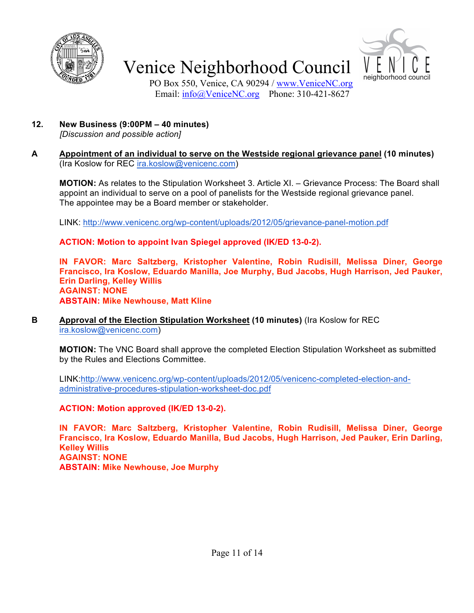



PO Box 550, Venice, CA 90294 / www.VeniceNC.org Email: info@VeniceNC.org Phone: 310-421-8627

**12. New Business (9:00PM – 40 minutes)**

*[Discussion and possible action]*

**A Appointment of an individual to serve on the Westside regional grievance panel (10 minutes)**  (Ira Koslow for REC ira.koslow@venicenc.com)

**MOTION:** As relates to the Stipulation Worksheet 3. Article XI. – Grievance Process: The Board shall appoint an individual to serve on a pool of panelists for the Westside regional grievance panel. The appointee may be a Board member or stakeholder.

LINK: http://www.venicenc.org/wp-content/uploads/2012/05/grievance-panel-motion.pdf

**ACTION: Motion to appoint Ivan Spiegel approved (IK/ED 13-0-2).**

**IN FAVOR: Marc Saltzberg, Kristopher Valentine, Robin Rudisill, Melissa Diner, George Francisco, Ira Koslow, Eduardo Manilla, Joe Murphy, Bud Jacobs, Hugh Harrison, Jed Pauker, Erin Darling, Kelley Willis AGAINST: NONE ABSTAIN: Mike Newhouse, Matt Kline**

**B Approval of the Election Stipulation Worksheet (10 minutes)** (Ira Koslow for REC ira.koslow@venicenc.com)

**MOTION:** The VNC Board shall approve the completed Election Stipulation Worksheet as submitted by the Rules and Elections Committee.

LINK:http://www.venicenc.org/wp-content/uploads/2012/05/venicenc-completed-election-andadministrative-procedures-stipulation-worksheet-doc.pdf

**ACTION: Motion approved (IK/ED 13-0-2).**

**IN FAVOR: Marc Saltzberg, Kristopher Valentine, Robin Rudisill, Melissa Diner, George Francisco, Ira Koslow, Eduardo Manilla, Bud Jacobs, Hugh Harrison, Jed Pauker, Erin Darling, Kelley Willis AGAINST: NONE ABSTAIN: Mike Newhouse, Joe Murphy**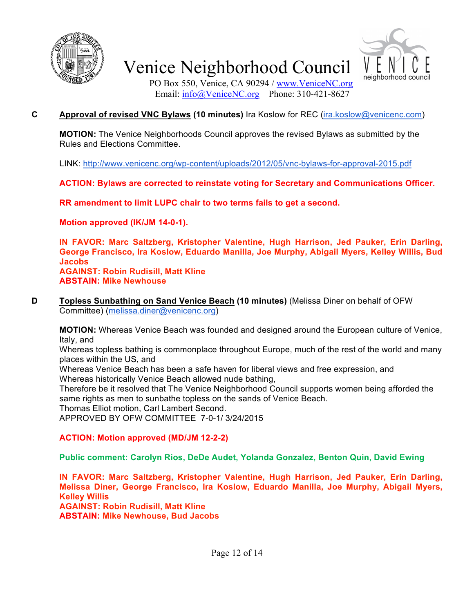



PO Box 550, Venice, CA 90294 / www.VeniceNC.org Email:  $\frac{info(@)$ VeniceNC.org Phone: 310-421-8627

## **C Approval of revised VNC Bylaws (10 minutes)** Ira Koslow for REC (ira.koslow@venicenc.com)

**MOTION:** The Venice Neighborhoods Council approves the revised Bylaws as submitted by the Rules and Elections Committee.

LINK: http://www.venicenc.org/wp-content/uploads/2012/05/vnc-bylaws-for-approval-2015.pdf

**ACTION: Bylaws are corrected to reinstate voting for Secretary and Communications Officer.**

**RR amendment to limit LUPC chair to two terms fails to get a second.**

**Motion approved (IK/JM 14-0-1).**

**IN FAVOR: Marc Saltzberg, Kristopher Valentine, Hugh Harrison, Jed Pauker, Erin Darling, George Francisco, Ira Koslow, Eduardo Manilla, Joe Murphy, Abigail Myers, Kelley Willis, Bud Jacobs AGAINST: Robin Rudisill, Matt Kline ABSTAIN: Mike Newhouse**

**D Topless Sunbathing on Sand Venice Beach (10 minutes)** (Melissa Diner on behalf of OFW Committee) (melissa.diner@venicenc.org)

**MOTION:** Whereas Venice Beach was founded and designed around the European culture of Venice, Italy, and

Whereas topless bathing is commonplace throughout Europe, much of the rest of the world and many places within the US, and

Whereas Venice Beach has been a safe haven for liberal views and free expression, and Whereas historically Venice Beach allowed nude bathing,

Therefore be it resolved that The Venice Neighborhood Council supports women being afforded the same rights as men to sunbathe topless on the sands of Venice Beach.

Thomas Elliot motion, Carl Lambert Second.

APPROVED BY OFW COMMITTEE 7-0-1/ 3/24/2015

### **ACTION: Motion approved (MD/JM 12-2-2)**

**Public comment: Carolyn Rios, DeDe Audet, Yolanda Gonzalez, Benton Quin, David Ewing**

**IN FAVOR: Marc Saltzberg, Kristopher Valentine, Hugh Harrison, Jed Pauker, Erin Darling, Melissa Diner, George Francisco, Ira Koslow, Eduardo Manilla, Joe Murphy, Abigail Myers, Kelley Willis AGAINST: Robin Rudisill, Matt Kline**

**ABSTAIN: Mike Newhouse, Bud Jacobs**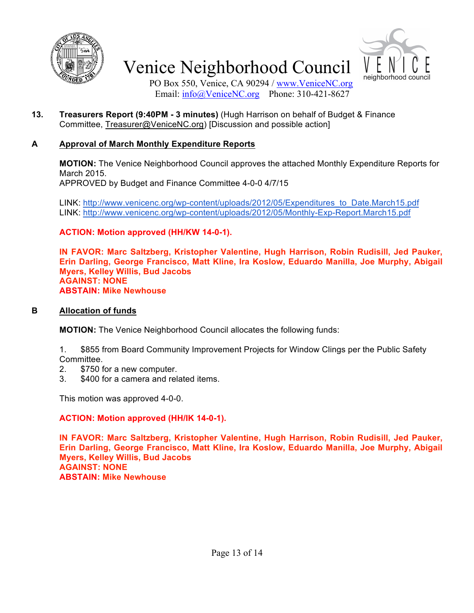



PO Box 550, Venice, CA 90294 / www.VeniceNC.org Email: info@VeniceNC.org Phone: 310-421-8627

**13. Treasurers Report (9:40PM - 3 minutes)** (Hugh Harrison on behalf of Budget & Finance Committee, Treasurer@VeniceNC.org) [Discussion and possible action]

## **A Approval of March Monthly Expenditure Reports**

**MOTION:** The Venice Neighborhood Council approves the attached Monthly Expenditure Reports for March 2015.

APPROVED by Budget and Finance Committee 4-0-0 4/7/15

LINK: http://www.venicenc.org/wp-content/uploads/2012/05/Expenditures\_to\_Date.March15.pdf LINK: http://www.venicenc.org/wp-content/uploads/2012/05/Monthly-Exp-Report.March15.pdf

**ACTION: Motion approved (HH/KW 14-0-1).**

**IN FAVOR: Marc Saltzberg, Kristopher Valentine, Hugh Harrison, Robin Rudisill, Jed Pauker, Erin Darling, George Francisco, Matt Kline, Ira Koslow, Eduardo Manilla, Joe Murphy, Abigail Myers, Kelley Willis, Bud Jacobs AGAINST: NONE ABSTAIN: Mike Newhouse**

### **B Allocation of funds**

**MOTION:** The Venice Neighborhood Council allocates the following funds:

1. \$855 from Board Community Improvement Projects for Window Clings per the Public Safety Committee.

- 2. \$750 for a new computer.
- 3. \$400 for a camera and related items.

This motion was approved 4-0-0.

### **ACTION: Motion approved (HH/IK 14-0-1).**

**IN FAVOR: Marc Saltzberg, Kristopher Valentine, Hugh Harrison, Robin Rudisill, Jed Pauker, Erin Darling, George Francisco, Matt Kline, Ira Koslow, Eduardo Manilla, Joe Murphy, Abigail Myers, Kelley Willis, Bud Jacobs AGAINST: NONE ABSTAIN: Mike Newhouse**